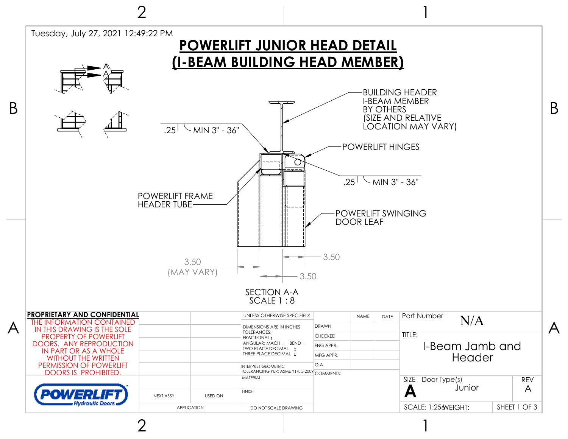

2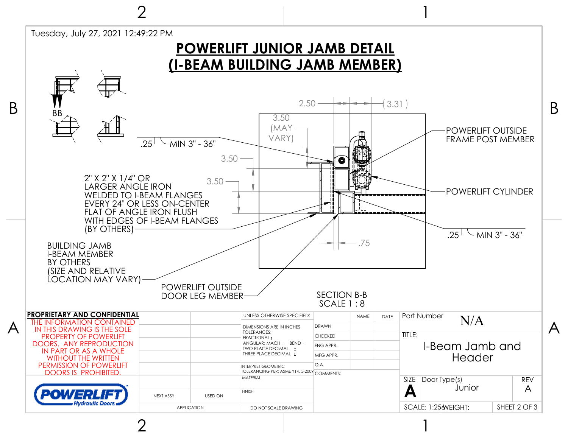

ク